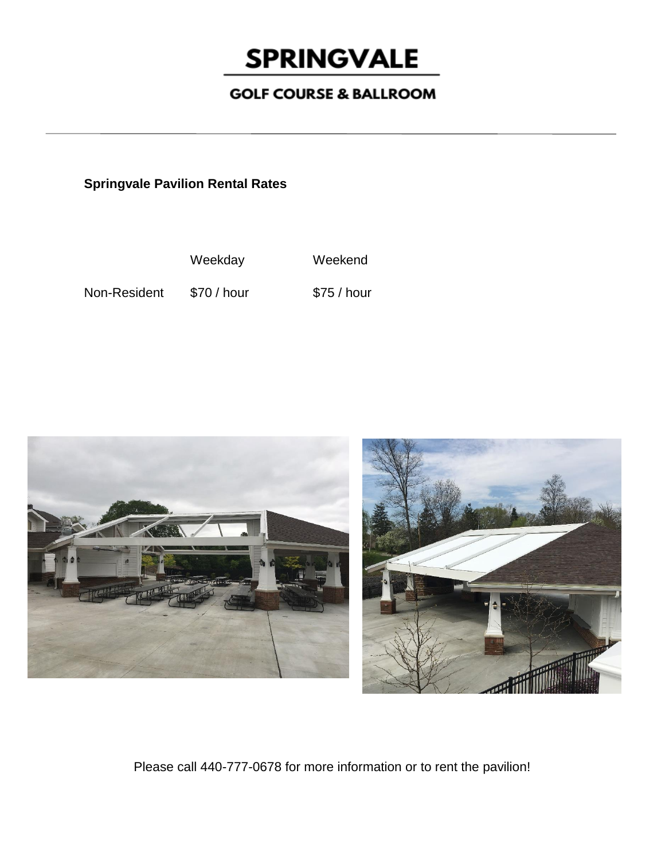## **SPRINGVALE**

## **GOLF COURSE & BALLROOM**

**Springvale Pavilion Rental Rates**

Weekday Weekend

Non-Resident \$70 / hour \$75 / hour



Please call 440-777-0678 for more information or to rent the pavilion!